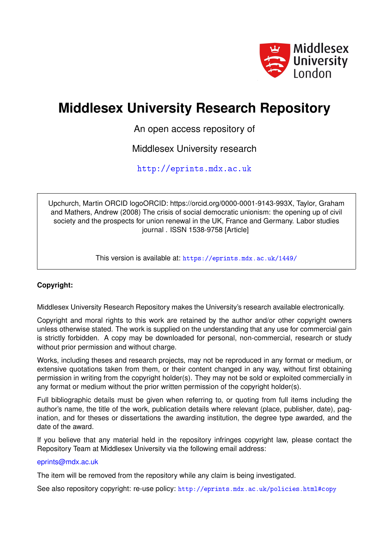

# **Middlesex University Research Repository**

An open access repository of

Middlesex University research

<http://eprints.mdx.ac.uk>

Upchurch, Martin ORCID logoORCID: https://orcid.org/0000-0001-9143-993X, Taylor, Graham and Mathers, Andrew (2008) The crisis of social democratic unionism: the opening up of civil society and the prospects for union renewal in the UK, France and Germany. Labor studies journal . ISSN 1538-9758 [Article]

This version is available at: <https://eprints.mdx.ac.uk/1449/>

## **Copyright:**

Middlesex University Research Repository makes the University's research available electronically.

Copyright and moral rights to this work are retained by the author and/or other copyright owners unless otherwise stated. The work is supplied on the understanding that any use for commercial gain is strictly forbidden. A copy may be downloaded for personal, non-commercial, research or study without prior permission and without charge.

Works, including theses and research projects, may not be reproduced in any format or medium, or extensive quotations taken from them, or their content changed in any way, without first obtaining permission in writing from the copyright holder(s). They may not be sold or exploited commercially in any format or medium without the prior written permission of the copyright holder(s).

Full bibliographic details must be given when referring to, or quoting from full items including the author's name, the title of the work, publication details where relevant (place, publisher, date), pagination, and for theses or dissertations the awarding institution, the degree type awarded, and the date of the award.

If you believe that any material held in the repository infringes copyright law, please contact the Repository Team at Middlesex University via the following email address:

### [eprints@mdx.ac.uk](mailto:eprints@mdx.ac.uk)

The item will be removed from the repository while any claim is being investigated.

See also repository copyright: re-use policy: <http://eprints.mdx.ac.uk/policies.html#copy>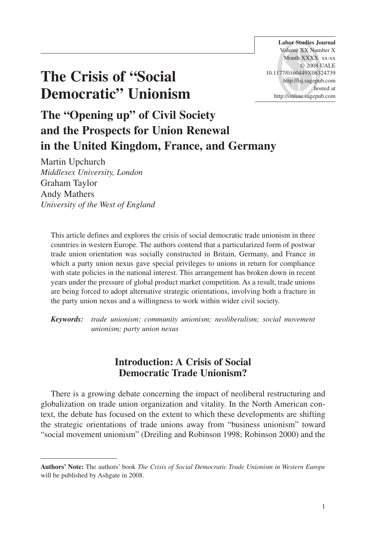**Labor Studies Journal** Volume XX Number X Month XXXX xx-xx © 2008 UALE 10.1177/0160449X08324739 http://lsj.sagepub.com hosted at http://online.sagepub.com

## **The Crisis of "Social Democratic" Unionism**

## **The "Opening up" of Civil Society and the Prospects for Union Renewal in the United Kingdom, France, and Germany**

Martin Upchurch *Middlesex University, London* Graham Taylor Andy Mathers *University of the West of England*

This article defines and explores the crisis of social democratic trade unionism in three countries in western Europe. The authors contend that a particularized form of postwar trade union orientation was socially constructed in Britain, Germany, and France in which a party union nexus gave special privileges to unions in return for compliance with state policies in the national interest. This arrangement has broken down in recent years under the pressure of global product market competition. As a result, trade unions are being forced to adopt alternative strategic orientations, involving both a fracture in the party union nexus and a willingness to work within wider civil society.

*Keywords: trade unionism; community unionism; neoliberalism; social movement unionism; party union nexus*

### **Introduction: A Crisis of Social Democratic Trade Unionism?**

There is a growing debate concerning the impact of neoliberal restructuring and globalization on trade union organization and vitality. In the North American context, the debate has focused on the extent to which these developments are shifting the strategic orientations of trade unions away from "business unionism" toward "social movement unionism" (Dreiling and Robinson 1998; Robinson 2000) and the

**Authors' Note:** The authors' book *The Crisis of Social Democratic Trade Unionism in Western Europe* will be published by Ashgate in 2008.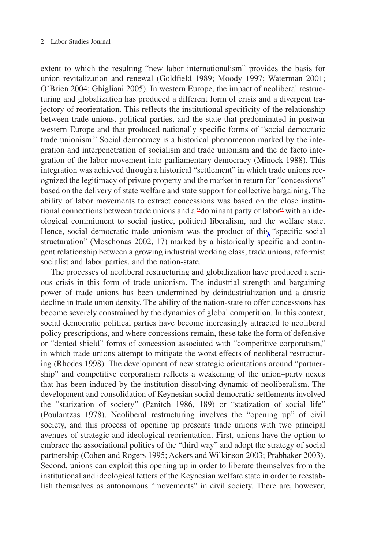#### 2 Labor Studies Journal

extent to which the resulting "new labor internationalism" provides the basis for union revitalization and renewal (Goldfield 1989; Moody 1997; Waterman 2001; O'Brien 2004; Ghigliani 2005). In western Europe, the impact of neoliberal restructuring and globalization has produced a different form of crisis and a divergent trajectory of reorientation. This reflects the institutional specificity of the relationship between trade unions, political parties, and the state that predominated in postwar western Europe and that produced nationally specific forms of "social democratic trade unionism." Social democracy is a historical phenomenon marked by the integration and interpenetration of socialism and trade unionism and the de facto integration of the labor movement into parliamentary democracy (Minock 1988). This integration was achieved through a historical "settlement" in which trade unions recognized the legitimacy of private property and the market in return for "concessions" based on the delivery of state welfare and state support for collective bargaining. The ability of labor movements to extract concessions was based on the close institutional connections between trade unions and a "dominant party of labor" with an ideological commitment to social justice, political liberalism, and the welfare state. Hence, social democratic trade unionism was the product of this "specific social structuration" (Moschonas 2002, 17) marked by a historically specific and contingent relationship between a growing industrial working class, trade unions, reformist socialist and labor parties, and the nation-state.

The processes of neoliberal restructuring and globalization have produced a serious crisis in this form of trade unionism. The industrial strength and bargaining power of trade unions has been undermined by deindustrialization and a drastic decline in trade union density. The ability of the nation-state to offer concessions has become severely constrained by the dynamics of global competition. In this context, social democratic political parties have become increasingly attracted to neoliberal policy prescriptions, and where concessions remain, these take the form of defensive or "dented shield" forms of concession associated with "competitive corporatism," in which trade unions attempt to mitigate the worst effects of neoliberal restructuring (Rhodes 1998). The development of new strategic orientations around "partnership" and competitive corporatism reflects a weakening of the union–party nexus that has been induced by the institution-dissolving dynamic of neoliberalism. The development and consolidation of Keynesian social democratic settlements involved the "statization of society" (Panitch 1986, 189) or "statization of social life" (Poulantzas 1978). Neoliberal restructuring involves the "opening up" of civil society, and this process of opening up presents trade unions with two principal avenues of strategic and ideological reorientation. First, unions have the option to embrace the associational politics of the "third way" and adopt the strategy of social partnership (Cohen and Rogers 1995; Ackers and Wilkinson 2003; Prabhaker 2003). Second, unions can exploit this opening up in order to liberate themselves from the institutional and ideological fetters of the Keynesian welfare state in order to reestablish themselves as autonomous "movements" in civil society. There are, however,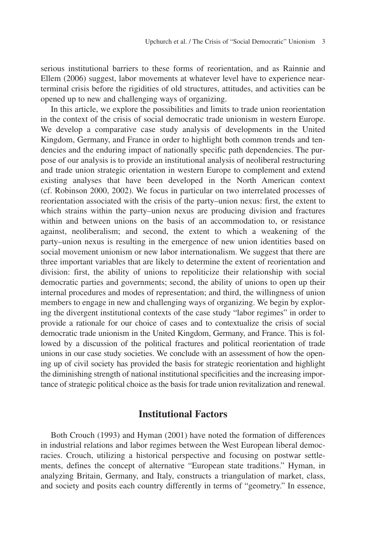serious institutional barriers to these forms of reorientation, and as Rainnie and Ellem (2006) suggest, labor movements at whatever level have to experience nearterminal crisis before the rigidities of old structures, attitudes, and activities can be opened up to new and challenging ways of organizing.

In this article, we explore the possibilities and limits to trade union reorientation in the context of the crisis of social democratic trade unionism in western Europe. We develop a comparative case study analysis of developments in the United Kingdom, Germany, and France in order to highlight both common trends and tendencies and the enduring impact of nationally specific path dependencies. The purpose of our analysis is to provide an institutional analysis of neoliberal restructuring and trade union strategic orientation in western Europe to complement and extend existing analyses that have been developed in the North American context (cf. Robinson 2000, 2002). We focus in particular on two interrelated processes of reorientation associated with the crisis of the party–union nexus: first, the extent to which strains within the party–union nexus are producing division and fractures within and between unions on the basis of an accommodation to, or resistance against, neoliberalism; and second, the extent to which a weakening of the party–union nexus is resulting in the emergence of new union identities based on social movement unionism or new labor internationalism. We suggest that there are three important variables that are likely to determine the extent of reorientation and division: first, the ability of unions to repoliticize their relationship with social democratic parties and governments; second, the ability of unions to open up their internal procedures and modes of representation; and third, the willingness of union members to engage in new and challenging ways of organizing. We begin by exploring the divergent institutional contexts of the case study "labor regimes" in order to provide a rationale for our choice of cases and to contextualize the crisis of social democratic trade unionism in the United Kingdom, Germany, and France. This is followed by a discussion of the political fractures and political reorientation of trade unions in our case study societies. We conclude with an assessment of how the opening up of civil society has provided the basis for strategic reorientation and highlight the diminishing strength of national institutional specificities and the increasing importance of strategic political choice as the basis for trade union revitalization and renewal.

#### **Institutional Factors**

Both Crouch (1993) and Hyman (2001) have noted the formation of differences in industrial relations and labor regimes between the West European liberal democracies. Crouch, utilizing a historical perspective and focusing on postwar settlements, defines the concept of alternative "European state traditions." Hyman, in analyzing Britain, Germany, and Italy, constructs a triangulation of market, class, and society and posits each country differently in terms of "geometry." In essence,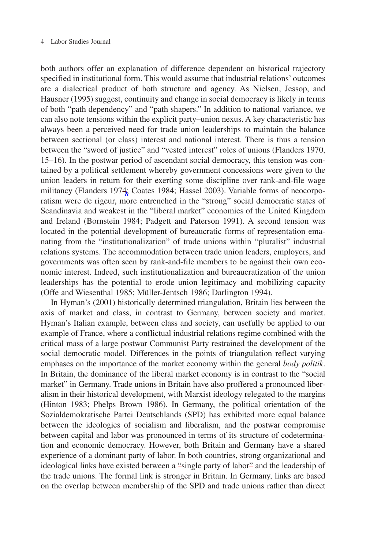both authors offer an explanation of difference dependent on historical trajectory specified in institutional form. This would assume that industrial relations' outcomes are a dialectical product of both structure and agency. As Nielsen, Jessop, and Hausner (1995) suggest, continuity and change in social democracy is likely in terms of both "path dependency" and "path shapers." In addition to national variance, we can also note tensions within the explicit party–union nexus. A key characteristic has always been a perceived need for trade union leaderships to maintain the balance between sectional (or class) interest and national interest. There is thus a tension between the "sword of justice" and "vested interest" roles of unions (Flanders 1970, 15–16). In the postwar period of ascendant social democracy, this tension was contained by a political settlement whereby government concessions were given to the union leaders in return for their exerting some discipline over rank-and-file wage militancy (Flanders 1974; Coates 1984; Hassel 2003). Variable forms of neocorporatism were de rigeur, more entrenched in the "strong" social democratic states of Scandinavia and weakest in the "liberal market" economies of the United Kingdom and Ireland (Bornstein 1984; Padgett and Paterson 1991). A second tension was located in the potential development of bureaucratic forms of representation emanating from the "institutionalization" of trade unions within "pluralist" industrial relations systems. The accommodation between trade union leaders, employers, and governments was often seen by rank-and-file members to be against their own economic interest. Indeed, such institutionalization and bureaucratization of the union leaderships has the potential to erode union legitimacy and mobilizing capacity (Offe and Wiesenthal 1985; Müller-Jentsch 1986; Darlington 1994).

In Hyman's (2001) historically determined triangulation, Britain lies between the axis of market and class, in contrast to Germany, between society and market. Hyman's Italian example, between class and society, can usefully be applied to our example of France, where a conflictual industrial relations regime combined with the critical mass of a large postwar Communist Party restrained the development of the social democratic model. Differences in the points of triangulation reflect varying emphases on the importance of the market economy within the general *body politik*. In Britain, the dominance of the liberal market economy is in contrast to the "social market" in Germany. Trade unions in Britain have also proffered a pronounced liberalism in their historical development, with Marxist ideology relegated to the margins (Hinton 1983; Phelps Brown 1986). In Germany, the political orientation of the Sozialdemokratische Partei Deutschlands (SPD) has exhibited more equal balance between the ideologies of socialism and liberalism, and the postwar compromise between capital and labor was pronounced in terms of its structure of codetermination and economic democracy. However, both Britain and Germany have a shared experience of a dominant party of labor. In both countries, strong organizational and ideological links have existed between a "single party of labor" and the leadership of the trade unions. The formal link is stronger in Britain. In Germany, links are based on the overlap between membership of the SPD and trade unions rather than direct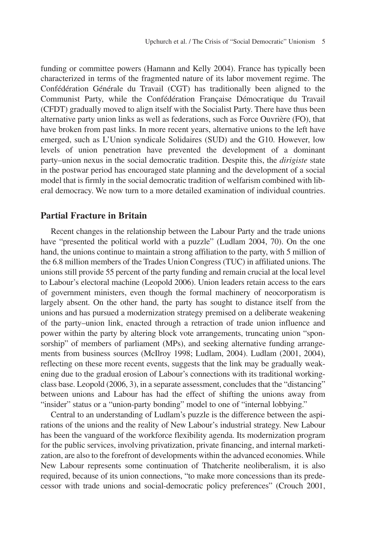funding or committee powers (Hamann and Kelly 2004). France has typically been characterized in terms of the fragmented nature of its labor movement regime. The Confédération Générale du Travail (CGT) has traditionally been aligned to the Communist Party, while the Confédération Française Démocratique du Travail (CFDT) gradually moved to align itself with the Socialist Party. There have thus been alternative party union links as well as federations, such as Force Ouvrière (FO), that have broken from past links. In more recent years, alternative unions to the left have emerged, such as L'Union syndicale Solidaires (SUD) and the G10. However, low levels of union penetration have prevented the development of a dominant party–union nexus in the social democratic tradition. Despite this, the *dirigiste* state in the postwar period has encouraged state planning and the development of a social model that is firmly in the social democratic tradition of welfarism combined with liberal democracy. We now turn to a more detailed examination of individual countries.

#### **Partial Fracture in Britain**

Recent changes in the relationship between the Labour Party and the trade unions have "presented the political world with a puzzle" (Ludlam 2004, 70). On the one hand, the unions continue to maintain a strong affiliation to the party, with 5 million of the 6.8 million members of the Trades Union Congress (TUC) in affiliated unions. The unions still provide 55 percent of the party funding and remain crucial at the local level to Labour's electoral machine (Leopold 2006). Union leaders retain access to the ears of government ministers, even though the formal machinery of neocorporatism is largely absent. On the other hand, the party has sought to distance itself from the unions and has pursued a modernization strategy premised on a deliberate weakening of the party–union link, enacted through a retraction of trade union influence and power within the party by altering block vote arrangements, truncating union "sponsorship" of members of parliament (MPs), and seeking alternative funding arrangements from business sources (McIlroy 1998; Ludlam, 2004). Ludlam (2001, 2004), reflecting on these more recent events, suggests that the link may be gradually weakening due to the gradual erosion of Labour's connections with its traditional workingclass base. Leopold (2006, 3), in a separate assessment, concludes that the "distancing" between unions and Labour has had the effect of shifting the unions away from "insider" status or a "union-party bonding" model to one of "internal lobbying."

Central to an understanding of Ludlam's puzzle is the difference between the aspirations of the unions and the reality of New Labour's industrial strategy. New Labour has been the vanguard of the workforce flexibility agenda. Its modernization program for the public services, involving privatization, private financing, and internal marketization, are also to the forefront of developments within the advanced economies. While New Labour represents some continuation of Thatcherite neoliberalism, it is also required, because of its union connections, "to make more concessions than its predecessor with trade unions and social-democratic policy preferences" (Crouch 2001,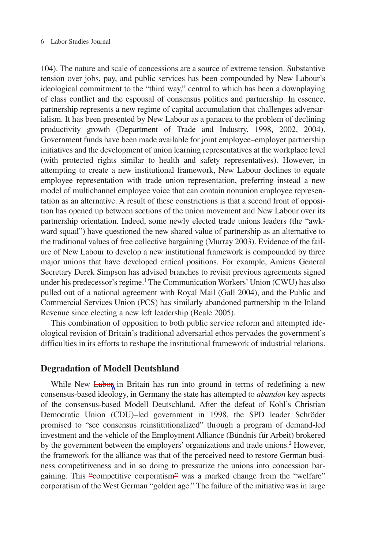104). The nature and scale of concessions are a source of extreme tension. Substantive tension over jobs, pay, and public services has been compounded by New Labour's ideological commitment to the "third way," central to which has been a downplaying of class conflict and the espousal of consensus politics and partnership. In essence, partnership represents a new regime of capital accumulation that challenges adversarialism. It has been presented by New Labour as a panacea to the problem of declining productivity growth (Department of Trade and Industry, 1998, 2002, 2004). Government funds have been made available for joint employee–employer partnership initiatives and the development of union learning representatives at the workplace level (with protected rights similar to health and safety representatives). However, in attempting to create a new institutional framework, New Labour declines to equate employee representation with trade union representation, preferring instead a new model of multichannel employee voice that can contain nonunion employee representation as an alternative. A result of these constrictions is that a second front of opposition has opened up between sections of the union movement and New Labour over its partnership orientation. Indeed, some newly elected trade unions leaders (the "awkward squad") have questioned the new shared value of partnership as an alternative to the traditional values of free collective bargaining (Murray 2003). Evidence of the failure of New Labour to develop a new institutional framework is compounded by three major unions that have developed critical positions. For example, Amicus General Secretary Derek Simpson has advised branches to revisit previous agreements signed under his predecessor's regime.<sup>1</sup> The Communication Workers' Union (CWU) has also pulled out of a national agreement with Royal Mail (Gall 2004), and the Public and Commercial Services Union (PCS) has similarly abandoned partnership in the Inland Revenue since electing a new left leadership (Beale 2005).

This combination of opposition to both public service reform and attempted ideological revision of Britain's traditional adversarial ethos pervades the government's difficulties in its efforts to reshape the institutional framework of industrial relations.

#### **Degradation of Modell Deutshland**

While New Labor in Britain has run into ground in terms of redefining a new consensus-based ideology, in Germany the state has attempted to *abandon* key aspects of the consensus-based Modell Deutschland. After the defeat of Kohl's Christian Democratic Union (CDU)–led government in 1998, the SPD leader Schröder promised to "see consensus reinstitutionalized" through a program of demand-led investment and the vehicle of the Employment Alliance (Bündnis für Arbeit) brokered by the government between the employers' organizations and trade unions.<sup>2</sup> However, the framework for the alliance was that of the perceived need to restore German business competitiveness and in so doing to pressurize the unions into concession bargaining. This "competitive corporatism" was a marked change from the "welfare" corporatism of the West German "golden age." The failure of the initiative was in large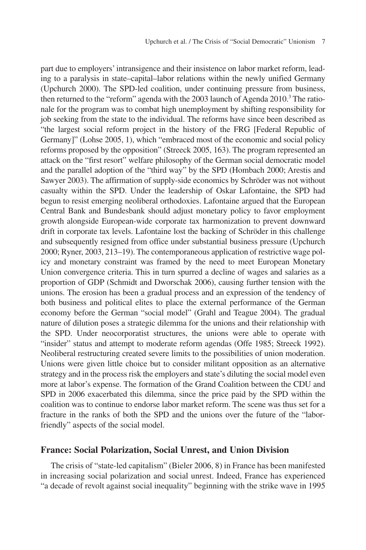part due to employers' intransigence and their insistence on labor market reform, leading to a paralysis in state–capital–labor relations within the newly unified Germany (Upchurch 2000). The SPD-led coalition, under continuing pressure from business, then returned to the "reform" agenda with the 2003 launch of Agenda 2010.<sup>3</sup> The rationale for the program was to combat high unemployment by shifting responsibility for job seeking from the state to the individual. The reforms have since been described as "the largest social reform project in the history of the FRG [Federal Republic of Germany]" (Lohse 2005, 1), which "embraced most of the economic and social policy reforms proposed by the opposition" (Streeck 2005, 163). The program represented an attack on the "first resort" welfare philosophy of the German social democratic model and the parallel adoption of the "third way" by the SPD (Hombach 2000; Arestis and Sawyer 2003). The affirmation of supply-side economics by Schröder was not without casualty within the SPD. Under the leadership of Oskar Lafontaine, the SPD had begun to resist emerging neoliberal orthodoxies. Lafontaine argued that the European Central Bank and Bundesbank should adjust monetary policy to favor employment growth alongside European-wide corporate tax harmonization to prevent downward drift in corporate tax levels. Lafontaine lost the backing of Schröder in this challenge and subsequently resigned from office under substantial business pressure (Upchurch 2000; Ryner, 2003, 213–19). The contemporaneous application of restrictive wage policy and monetary constraint was framed by the need to meet European Monetary Union convergence criteria. This in turn spurred a decline of wages and salaries as a proportion of GDP (Schmidt and Dworschak 2006), causing further tension with the unions. The erosion has been a gradual process and an expression of the tendency of both business and political elites to place the external performance of the German economy before the German "social model" (Grahl and Teague 2004). The gradual nature of dilution poses a strategic dilemma for the unions and their relationship with the SPD. Under neocorporatist structures, the unions were able to operate with "insider" status and attempt to moderate reform agendas (Offe 1985; Streeck 1992). Neoliberal restructuring created severe limits to the possibilities of union moderation. Unions were given little choice but to consider militant opposition as an alternative strategy and in the process risk the employers and state's diluting the social model even more at labor's expense. The formation of the Grand Coalition between the CDU and SPD in 2006 exacerbated this dilemma, since the price paid by the SPD within the coalition was to continue to endorse labor market reform. The scene was thus set for a fracture in the ranks of both the SPD and the unions over the future of the "laborfriendly" aspects of the social model.

#### **France: Social Polarization, Social Unrest, and Union Division**

The crisis of "state-led capitalism" (Bieler 2006, 8) in France has been manifested in increasing social polarization and social unrest. Indeed, France has experienced "a decade of revolt against social inequality" beginning with the strike wave in 1995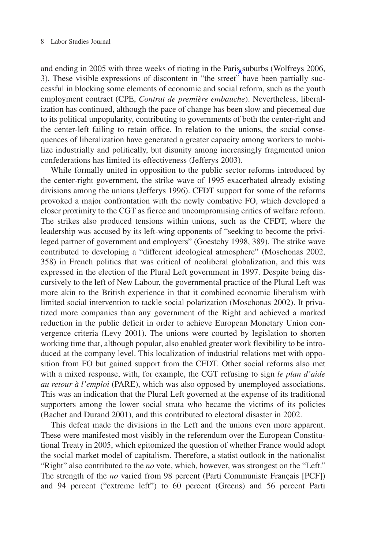and ending in 2005 with three weeks of rioting in the Paris suburbs (Wolfreys 2006, 3). These visible expressions of discontent in "the street" have been partially successful in blocking some elements of economic and social reform, such as the youth employment contract (CPE, *Contrat de première embauche*). Nevertheless, liberalization has continued, although the pace of change has been slow and piecemeal due to its political unpopularity, contributing to governments of both the center-right and the center-left failing to retain office. In relation to the unions, the social consequences of liberalization have generated a greater capacity among workers to mobilize industrially and politically, but disunity among increasingly fragmented union confederations has limited its effectiveness (Jefferys 2003).

While formally united in opposition to the public sector reforms introduced by the center-right government, the strike wave of 1995 exacerbated already existing divisions among the unions (Jefferys 1996). CFDT support for some of the reforms provoked a major confrontation with the newly combative FO, which developed a closer proximity to the CGT as fierce and uncompromising critics of welfare reform. The strikes also produced tensions within unions, such as the CFDT, where the leadership was accused by its left-wing opponents of "seeking to become the privileged partner of government and employers" (Goestchy 1998, 389). The strike wave contributed to developing a "different ideological atmosphere" (Moschonas 2002, 358) in French politics that was critical of neoliberal globalization, and this was expressed in the election of the Plural Left government in 1997. Despite being discursively to the left of New Labour, the governmental practice of the Plural Left was more akin to the British experience in that it combined economic liberalism with limited social intervention to tackle social polarization (Moschonas 2002). It privatized more companies than any government of the Right and achieved a marked reduction in the public deficit in order to achieve European Monetary Union convergence criteria (Levy 2001). The unions were courted by legislation to shorten working time that, although popular, also enabled greater work flexibility to be introduced at the company level. This localization of industrial relations met with opposition from FO but gained support from the CFDT. Other social reforms also met with a mixed response, with, for example, the CGT refusing to sign *le plan d'aide au retour à l'emploi* (PARE), which was also opposed by unemployed associations. This was an indication that the Plural Left governed at the expense of its traditional supporters among the lower social strata who became the victims of its policies (Bachet and Durand 2001), and this contributed to electoral disaster in 2002.

This defeat made the divisions in the Left and the unions even more apparent. These were manifested most visibly in the referendum over the European Constitutional Treaty in 2005, which epitomized the question of whether France would adopt the social market model of capitalism. Therefore, a statist outlook in the nationalist "Right" also contributed to the *no* vote, which, however, was strongest on the "Left." The strength of the *no* varied from 98 percent (Parti Communiste Français [PCF]) and 94 percent ("extreme left") to 60 percent (Greens) and 56 percent Parti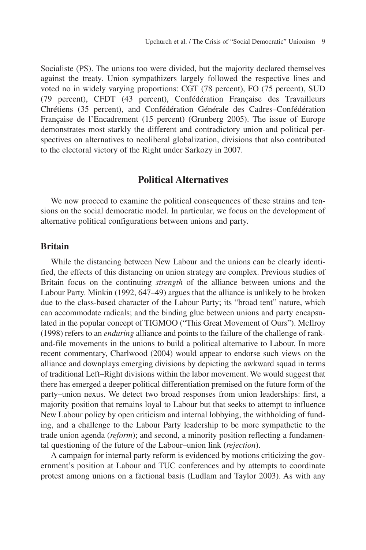Socialiste (PS). The unions too were divided, but the majority declared themselves against the treaty. Union sympathizers largely followed the respective lines and voted no in widely varying proportions: CGT (78 percent), FO (75 percent), SUD (79 percent), CFDT (43 percent), Confédération Française des Travailleurs Chrétiens (35 percent), and Confédération Générale des Cadres–Confédération Française de l'Encadrement (15 percent) (Grunberg 2005). The issue of Europe demonstrates most starkly the different and contradictory union and political perspectives on alternatives to neoliberal globalization, divisions that also contributed to the electoral victory of the Right under Sarkozy in 2007.

#### **Political Alternatives**

We now proceed to examine the political consequences of these strains and tensions on the social democratic model. In particular, we focus on the development of alternative political configurations between unions and party.

#### **Britain**

While the distancing between New Labour and the unions can be clearly identified, the effects of this distancing on union strategy are complex. Previous studies of Britain focus on the continuing *strength* of the alliance between unions and the Labour Party. Minkin (1992, 647–49) argues that the alliance is unlikely to be broken due to the class-based character of the Labour Party; its "broad tent" nature, which can accommodate radicals; and the binding glue between unions and party encapsulated in the popular concept of TIGMOO ("This Great Movement of Ours"). McIlroy (1998) refers to an *enduring* alliance and points to the failure of the challenge of rankand-file movements in the unions to build a political alternative to Labour. In more recent commentary, Charlwood (2004) would appear to endorse such views on the alliance and downplays emerging divisions by depicting the awkward squad in terms of traditional Left–Right divisions within the labor movement. We would suggest that there has emerged a deeper political differentiation premised on the future form of the party–union nexus. We detect two broad responses from union leaderships: first, a majority position that remains loyal to Labour but that seeks to attempt to influence New Labour policy by open criticism and internal lobbying, the withholding of funding, and a challenge to the Labour Party leadership to be more sympathetic to the trade union agenda (*reform*); and second, a minority position reflecting a fundamental questioning of the future of the Labour–union link (*rejection*).

A campaign for internal party reform is evidenced by motions criticizing the government's position at Labour and TUC conferences and by attempts to coordinate protest among unions on a factional basis (Ludlam and Taylor 2003). As with any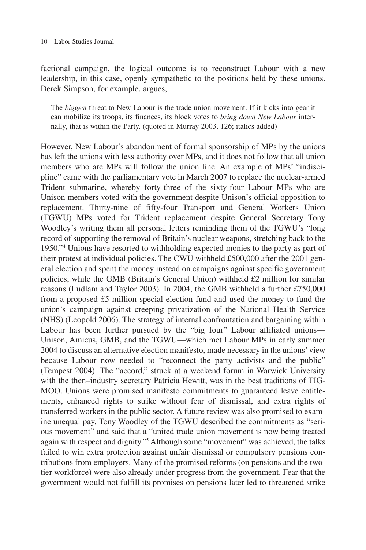factional campaign, the logical outcome is to reconstruct Labour with a new leadership, in this case, openly sympathetic to the positions held by these unions. Derek Simpson, for example, argues,

The *biggest* threat to New Labour is the trade union movement. If it kicks into gear it can mobilize its troops, its finances, its block votes to *bring down New Labour* internally, that is within the Party. (quoted in Murray 2003, 126; italics added)

However, New Labour's abandonment of formal sponsorship of MPs by the unions has left the unions with less authority over MPs, and it does not follow that all union members who are MPs will follow the union line. An example of MPs' "indiscipline" came with the parliamentary vote in March 2007 to replace the nuclear-armed Trident submarine, whereby forty-three of the sixty-four Labour MPs who are Unison members voted with the government despite Unison's official opposition to replacement. Thirty-nine of fifty-four Transport and General Workers Union (TGWU) MPs voted for Trident replacement despite General Secretary Tony Woodley's writing them all personal letters reminding them of the TGWU's "long record of supporting the removal of Britain's nuclear weapons, stretching back to the 1950."4 Unions have resorted to withholding expected monies to the party as part of their protest at individual policies. The CWU withheld £500,000 after the 2001 general election and spent the money instead on campaigns against specific government policies, while the GMB (Britain's General Union) withheld £2 million for similar reasons (Ludlam and Taylor 2003). In 2004, the GMB withheld a further £750,000 from a proposed £5 million special election fund and used the money to fund the union's campaign against creeping privatization of the National Health Service (NHS) (Leopold 2006). The strategy of internal confrontation and bargaining within Labour has been further pursued by the "big four" Labour affiliated unions— Unison, Amicus, GMB, and the TGWU—which met Labour MPs in early summer 2004 to discuss an alternative election manifesto, made necessary in the unions' view because Labour now needed to "reconnect the party activists and the public" (Tempest 2004). The "accord," struck at a weekend forum in Warwick University with the then–industry secretary Patricia Hewitt, was in the best traditions of TIG-MOO. Unions were promised manifesto commitments to guaranteed leave entitlements, enhanced rights to strike without fear of dismissal, and extra rights of transferred workers in the public sector. A future review was also promised to examine unequal pay. Tony Woodley of the TGWU described the commitments as "serious movement" and said that a "united trade union movement is now being treated again with respect and dignity."5 Although some "movement" was achieved, the talks failed to win extra protection against unfair dismissal or compulsory pensions contributions from employers. Many of the promised reforms (on pensions and the twotier workforce) were also already under progress from the government. Fear that the government would not fulfill its promises on pensions later led to threatened strike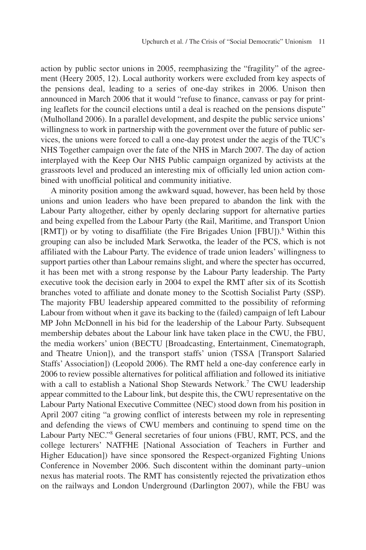action by public sector unions in 2005, reemphasizing the "fragility" of the agreement (Heery 2005, 12). Local authority workers were excluded from key aspects of the pensions deal, leading to a series of one-day strikes in 2006. Unison then announced in March 2006 that it would "refuse to finance, canvass or pay for printing leaflets for the council elections until a deal is reached on the pensions dispute" (Mulholland 2006). In a parallel development, and despite the public service unions' willingness to work in partnership with the government over the future of public services, the unions were forced to call a one-day protest under the aegis of the TUC's NHS Together campaign over the fate of the NHS in March 2007. The day of action interplayed with the Keep Our NHS Public campaign organized by activists at the grassroots level and produced an interesting mix of officially led union action combined with unofficial political and community initiative.

A minority position among the awkward squad, however, has been held by those unions and union leaders who have been prepared to abandon the link with the Labour Party altogether, either by openly declaring support for alternative parties and being expelled from the Labour Party (the Rail, Maritime, and Transport Union [RMT]) or by voting to disaffiliate (the Fire Brigades Union [FBU]).<sup>6</sup> Within this grouping can also be included Mark Serwotka, the leader of the PCS, which is not affiliated with the Labour Party. The evidence of trade union leaders' willingness to support parties other than Labour remains slight, and where the specter has occurred, it has been met with a strong response by the Labour Party leadership. The Party executive took the decision early in 2004 to expel the RMT after six of its Scottish branches voted to affiliate and donate money to the Scottish Socialist Party (SSP). The majority FBU leadership appeared committed to the possibility of reforming Labour from without when it gave its backing to the (failed) campaign of left Labour MP John McDonnell in his bid for the leadership of the Labour Party. Subsequent membership debates about the Labour link have taken place in the CWU, the FBU, the media workers' union (BECTU [Broadcasting, Entertainment, Cinematograph, and Theatre Union]), and the transport staffs' union (TSSA [Transport Salaried Staffs' Association]) (Leopold 2006). The RMT held a one-day conference early in 2006 to review possible alternatives for political affiliation and followed its initiative with a call to establish a National Shop Stewards Network.<sup>7</sup> The CWU leadership appear committed to the Labour link, but despite this, the CWU representative on the Labour Party National Executive Committee (NEC) stood down from his position in April 2007 citing "a growing conflict of interests between my role in representing and defending the views of CWU members and continuing to spend time on the Labour Party NEC."8 General secretaries of four unions (FBU, RMT, PCS, and the college lecturers' NATFHE [National Association of Teachers in Further and Higher Education]) have since sponsored the Respect-organized Fighting Unions Conference in November 2006. Such discontent within the dominant party–union nexus has material roots. The RMT has consistently rejected the privatization ethos on the railways and London Underground (Darlington 2007), while the FBU was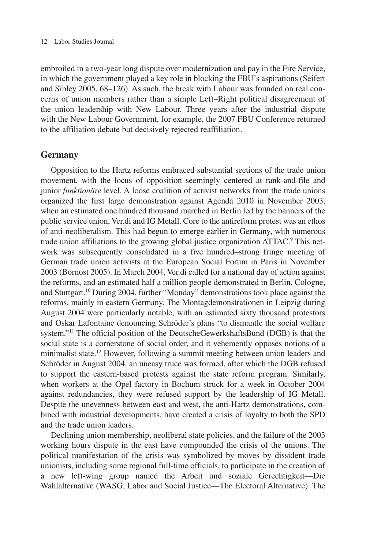embroiled in a two-year long dispute over modernization and pay in the Fire Service, in which the government played a key role in blocking the FBU's aspirations (Seifert and Sibley 2005, 68–126). As such, the break with Labour was founded on real concerns of union members rather than a simple Left–Right political disagreement of the union leadership with New Labour. Three years after the industrial dispute with the New Labour Government, for example, the 2007 FBU Conference returned to the affiliation debate but decisively rejected reaffiliation.

#### **Germany**

Opposition to the Hartz reforms embraced substantial sections of the trade union movement, with the locus of opposition seemingly centered at rank-and-file and junior *funktionäre* level. A loose coalition of activist networks from the trade unions organized the first large demonstration against Agenda 2010 in November 2003, when an estimated one hundred thousand marched in Berlin led by the banners of the public service union, Ver.di and IG Metall. Core to the antireform protest was an ethos of anti-neoliberalism. This had begun to emerge earlier in Germany, with numerous trade union affiliations to the growing global justice organization ATTAC.<sup>9</sup> This network was subsequently consolidated in a five hundred–strong fringe meeting of German trade union activists at the European Social Forum in Paris in November 2003 (Bornost 2005). In March 2004, Ver.di called for a national day of action against the reforms, and an estimated half a million people demonstrated in Berlin, Cologne, and Stuttgart.10 During 2004, further "Monday" demonstrations took place against the reforms, mainly in eastern Germany. The Montagdemonstrationen in Leipzig during August 2004 were particularly notable, with an estimated sixty thousand protestors and Oskar Lafontaine denouncing Schröder's plans "to dismantle the social welfare system."11 The official position of the DeutscheGewerkshaftsBund (DGB) is that the social state is a cornerstone of social order, and it vehemently opposes notions of a minimalist state.<sup>12</sup> However, following a summit meeting between union leaders and Schröder in August 2004, an uneasy truce was formed, after which the DGB refused to support the eastern-based protests against the state reform program. Similarly, when workers at the Opel factory in Bochum struck for a week in October 2004 against redundancies, they were refused support by the leadership of IG Metall. Despite the unevenness between east and west, the anti-Hartz demonstrations, combined with industrial developments, have created a crisis of loyalty to both the SPD and the trade union leaders.

Declining union membership, neoliberal state policies, and the failure of the 2003 working hours dispute in the east have compounded the crisis of the unions. The political manifestation of the crisis was symbolized by moves by dissident trade unionists, including some regional full-time officials, to participate in the creation of a new left-wing group named the Arbeit und soziale Gerechtigkeit—Die Wahlalternative (WASG; Labor and Social Justice—The Electoral Alternative). The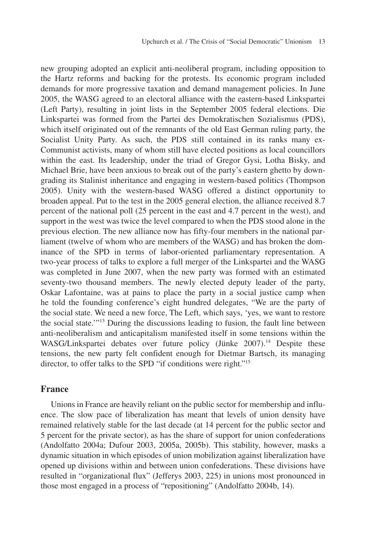new grouping adopted an explicit anti-neoliberal program, including opposition to the Hartz reforms and backing for the protests. Its economic program included demands for more progressive taxation and demand management policies. In June 2005, the WASG agreed to an electoral alliance with the eastern-based Linkspartei (Left Party), resulting in joint lists in the September 2005 federal elections. Die Linkspartei was formed from the Partei des Demokratischen Sozialismus (PDS), which itself originated out of the remnants of the old East German ruling party, the Socialist Unity Party. As such, the PDS still contained in its ranks many ex-Communist activists, many of whom still have elected positions as local councillors within the east. Its leadership, under the triad of Gregor Gysi, Lotha Bisky, and Michael Brie, have been anxious to break out of the party's eastern ghetto by downgrading its Stalinist inheritance and engaging in western-based politics (Thompson 2005). Unity with the western-based WASG offered a distinct opportunity to broaden appeal. Put to the test in the 2005 general election, the alliance received 8.7 percent of the national poll (25 percent in the east and 4.7 percent in the west), and support in the west was twice the level compared to when the PDS stood alone in the previous election. The new alliance now has fifty-four members in the national parliament (twelve of whom who are members of the WASG) and has broken the dominance of the SPD in terms of labor-oriented parliamentary representation. A two-year process of talks to explore a full merger of the Linkspartei and the WASG was completed in June 2007, when the new party was formed with an estimated seventy-two thousand members. The newly elected deputy leader of the party, Oskar Lafontaine, was at pains to place the party in a social justice camp when he told the founding conference's eight hundred delegates, "We are the party of the social state. We need a new force, The Left, which says, 'yes, we want to restore the social state.'"13 During the discussions leading to fusion, the fault line between anti-neoliberalism and anticapitalism manifested itself in some tensions within the WASG/Linkspartei debates over future policy (Jünke 2007).<sup>14</sup> Despite these tensions, the new party felt confident enough for Dietmar Bartsch, its managing director, to offer talks to the SPD "if conditions were right."15

#### **France**

Unions in France are heavily reliant on the public sector for membership and influence. The slow pace of liberalization has meant that levels of union density have remained relatively stable for the last decade (at 14 percent for the public sector and 5 percent for the private sector), as has the share of support for union confederations (Andolfatto 2004a; Dufour 2003, 2005a, 2005b). This stability, however, masks a dynamic situation in which episodes of union mobilization against liberalization have opened up divisions within and between union confederations. These divisions have resulted in "organizational flux" (Jefferys 2003, 225) in unions most pronounced in those most engaged in a process of "repositioning" (Andolfatto 2004b, 14).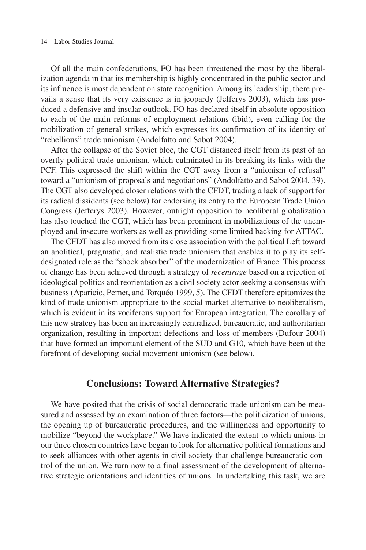Of all the main confederations, FO has been threatened the most by the liberalization agenda in that its membership is highly concentrated in the public sector and its influence is most dependent on state recognition. Among its leadership, there prevails a sense that its very existence is in jeopardy (Jefferys 2003), which has produced a defensive and insular outlook. FO has declared itself in absolute opposition to each of the main reforms of employment relations (ibid), even calling for the mobilization of general strikes, which expresses its confirmation of its identity of "rebellious" trade unionism (Andolfatto and Sabot 2004).

After the collapse of the Soviet bloc, the CGT distanced itself from its past of an overtly political trade unionism, which culminated in its breaking its links with the PCF. This expressed the shift within the CGT away from a "unionism of refusal" toward a "unionism of proposals and negotiations" (Andolfatto and Sabot 2004, 39). The CGT also developed closer relations with the CFDT, trading a lack of support for its radical dissidents (see below) for endorsing its entry to the European Trade Union Congress (Jefferys 2003). However, outright opposition to neoliberal globalization has also touched the CGT, which has been prominent in mobilizations of the unemployed and insecure workers as well as providing some limited backing for ATTAC.

The CFDT has also moved from its close association with the political Left toward an apolitical, pragmatic, and realistic trade unionism that enables it to play its selfdesignated role as the "shock absorber" of the modernization of France. This process of change has been achieved through a strategy of *recentrage* based on a rejection of ideological politics and reorientation as a civil society actor seeking a consensus with business (Aparicio, Pernet, and Torquéo 1999, 5). The CFDT therefore epitomizes the kind of trade unionism appropriate to the social market alternative to neoliberalism, which is evident in its vociferous support for European integration. The corollary of this new strategy has been an increasingly centralized, bureaucratic, and authoritarian organization, resulting in important defections and loss of members (Dufour 2004) that have formed an important element of the SUD and G10, which have been at the forefront of developing social movement unionism (see below).

#### **Conclusions: Toward Alternative Strategies?**

We have posited that the crisis of social democratic trade unionism can be measured and assessed by an examination of three factors—the politicization of unions, the opening up of bureaucratic procedures, and the willingness and opportunity to mobilize "beyond the workplace." We have indicated the extent to which unions in our three chosen countries have began to look for alternative political formations and to seek alliances with other agents in civil society that challenge bureaucratic control of the union. We turn now to a final assessment of the development of alternative strategic orientations and identities of unions. In undertaking this task, we are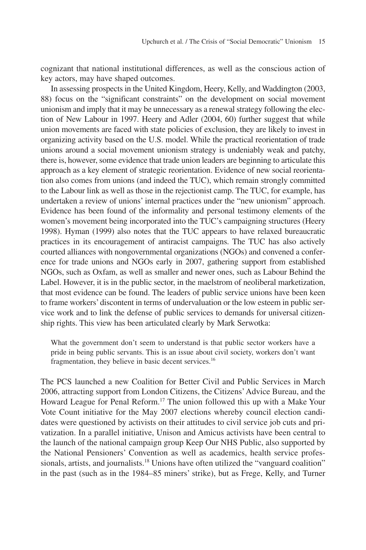cognizant that national institutional differences, as well as the conscious action of key actors, may have shaped outcomes.

In assessing prospects in the United Kingdom, Heery, Kelly, and Waddington (2003, 88) focus on the "significant constraints" on the development on social movement unionism and imply that it may be unnecessary as a renewal strategy following the election of New Labour in 1997. Heery and Adler (2004, 60) further suggest that while union movements are faced with state policies of exclusion, they are likely to invest in organizing activity based on the U.S. model. While the practical reorientation of trade unions around a social movement unionism strategy is undeniably weak and patchy, there is, however, some evidence that trade union leaders are beginning to articulate this approach as a key element of strategic reorientation. Evidence of new social reorientation also comes from unions (and indeed the TUC), which remain strongly committed to the Labour link as well as those in the rejectionist camp. The TUC, for example, has undertaken a review of unions' internal practices under the "new unionism" approach. Evidence has been found of the informality and personal testimony elements of the women's movement being incorporated into the TUC's campaigning structures (Heery 1998). Hyman (1999) also notes that the TUC appears to have relaxed bureaucratic practices in its encouragement of antiracist campaigns. The TUC has also actively courted alliances with nongovernmental organizations (NGOs) and convened a conference for trade unions and NGOs early in 2007, gathering support from established NGOs, such as Oxfam, as well as smaller and newer ones, such as Labour Behind the Label. However, it is in the public sector, in the maelstrom of neoliberal marketization, that most evidence can be found. The leaders of public service unions have been keen to frame workers'discontent in terms of undervaluation or the low esteem in public service work and to link the defense of public services to demands for universal citizenship rights. This view has been articulated clearly by Mark Serwotka:

What the government don't seem to understand is that public sector workers have a pride in being public servants. This is an issue about civil society, workers don't want fragmentation, they believe in basic decent services.<sup>16</sup>

The PCS launched a new Coalition for Better Civil and Public Services in March 2006, attracting support from London Citizens, the Citizens'Advice Bureau, and the Howard League for Penal Reform.<sup>17</sup> The union followed this up with a Make Your Vote Count initiative for the May 2007 elections whereby council election candidates were questioned by activists on their attitudes to civil service job cuts and privatization. In a parallel initiative, Unison and Amicus activists have been central to the launch of the national campaign group Keep Our NHS Public, also supported by the National Pensioners' Convention as well as academics, health service professionals, artists, and journalists.<sup>18</sup> Unions have often utilized the "vanguard coalition" in the past (such as in the 1984–85 miners' strike), but as Frege, Kelly, and Turner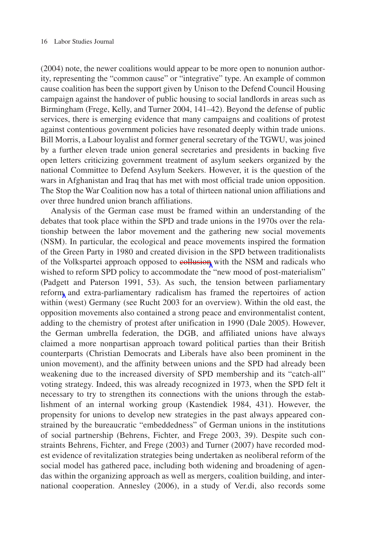(2004) note, the newer coalitions would appear to be more open to nonunion authority, representing the "common cause" or "integrative" type. An example of common cause coalition has been the support given by Unison to the Defend Council Housing campaign against the handover of public housing to social landlords in areas such as Birmingham (Frege, Kelly, and Turner 2004, 141–42). Beyond the defense of public services, there is emerging evidence that many campaigns and coalitions of protest against contentious government policies have resonated deeply within trade unions. Bill Morris, a Labour loyalist and former general secretary of the TGWU, was joined by a further eleven trade union general secretaries and presidents in backing five open letters criticizing government treatment of asylum seekers organized by the national Committee to Defend Asylum Seekers. However, it is the question of the wars in Afghanistan and Iraq that has met with most official trade union opposition. The Stop the War Coalition now has a total of thirteen national union affiliations and over three hundred union branch affiliations.

Analysis of the German case must be framed within an understanding of the debates that took place within the SPD and trade unions in the 1970s over the relationship between the labor movement and the gathering new social movements (NSM). In particular, the ecological and peace movements inspired the formation of the Green Party in 1980 and created division in the SPD between traditionalists of the Volkspartei approach opposed to evaluation with the NSM and radicals who wished to reform SPD policy to accommodate the "new mood of post-materialism" (Padgett and Paterson 1991, 53). As such, the tension between parliamentary reform and extra-parliamentary radicalism has framed the repertoires of action within (west) Germany (see Rucht 2003 for an overview). Within the old east, the opposition movements also contained a strong peace and environmentalist content, adding to the chemistry of protest after unification in 1990 (Dale 2005). However, the German umbrella federation, the DGB, and affiliated unions have always claimed a more nonpartisan approach toward political parties than their British counterparts (Christian Democrats and Liberals have also been prominent in the union movement), and the affinity between unions and the SPD had already been weakening due to the increased diversity of SPD membership and its "catch-all" voting strategy. Indeed, this was already recognized in 1973, when the SPD felt it necessary to try to strengthen its connections with the unions through the establishment of an internal working group (Kastendiek 1984, 431). However, the propensity for unions to develop new strategies in the past always appeared constrained by the bureaucratic "embeddedness" of German unions in the institutions of social partnership (Behrens, Fichter, and Frege 2003, 39). Despite such constraints Behrens, Fichter, and Frege (2003) and Turner (2007) have recorded modest evidence of revitalization strategies being undertaken as neoliberal reform of the social model has gathered pace, including both widening and broadening of agendas within the organizing approach as well as mergers, coalition building, and international cooperation. Annesley (2006), in a study of Ver.di, also records some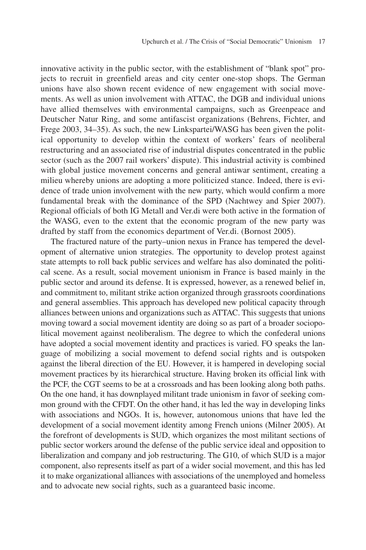innovative activity in the public sector, with the establishment of "blank spot" projects to recruit in greenfield areas and city center one-stop shops. The German unions have also shown recent evidence of new engagement with social movements. As well as union involvement with ATTAC, the DGB and individual unions have allied themselves with environmental campaigns, such as Greenpeace and Deutscher Natur Ring, and some antifascist organizations (Behrens, Fichter, and Frege 2003, 34–35). As such, the new Linkspartei/WASG has been given the political opportunity to develop within the context of workers' fears of neoliberal restructuring and an associated rise of industrial disputes concentrated in the public sector (such as the 2007 rail workers' dispute). This industrial activity is combined with global justice movement concerns and general antiwar sentiment, creating a milieu whereby unions are adopting a more politicized stance. Indeed, there is evidence of trade union involvement with the new party, which would confirm a more fundamental break with the dominance of the SPD (Nachtwey and Spier 2007). Regional officials of both IG Metall and Ver.di were both active in the formation of the WASG, even to the extent that the economic program of the new party was drafted by staff from the economics department of Ver.di. (Bornost 2005).

The fractured nature of the party–union nexus in France has tempered the development of alternative union strategies. The opportunity to develop protest against state attempts to roll back public services and welfare has also dominated the political scene. As a result, social movement unionism in France is based mainly in the public sector and around its defense. It is expressed, however, as a renewed belief in, and commitment to, militant strike action organized through grassroots coordinations and general assemblies. This approach has developed new political capacity through alliances between unions and organizations such as ATTAC. This suggests that unions moving toward a social movement identity are doing so as part of a broader sociopolitical movement against neoliberalism. The degree to which the confederal unions have adopted a social movement identity and practices is varied. FO speaks the language of mobilizing a social movement to defend social rights and is outspoken against the liberal direction of the EU. However, it is hampered in developing social movement practices by its hierarchical structure. Having broken its official link with the PCF, the CGT seems to be at a crossroads and has been looking along both paths. On the one hand, it has downplayed militant trade unionism in favor of seeking common ground with the CFDT. On the other hand, it has led the way in developing links with associations and NGOs. It is, however, autonomous unions that have led the development of a social movement identity among French unions (Milner 2005). At the forefront of developments is SUD, which organizes the most militant sections of public sector workers around the defense of the public service ideal and opposition to liberalization and company and job restructuring. The G10, of which SUD is a major component, also represents itself as part of a wider social movement, and this has led it to make organizational alliances with associations of the unemployed and homeless and to advocate new social rights, such as a guaranteed basic income.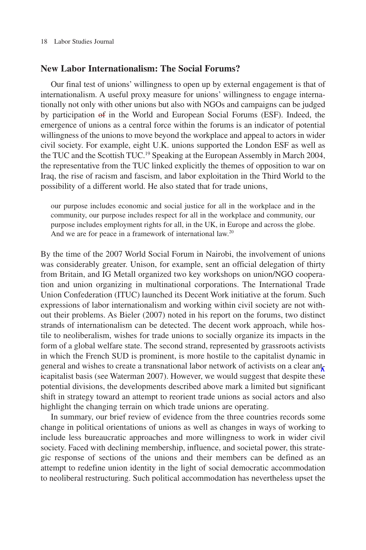#### **New Labor Internationalism: The Social Forums?**

Our final test of unions' willingness to open up by external engagement is that of internationalism. A useful proxy measure for unions' willingness to engage internationally not only with other unions but also with NGOs and campaigns can be judged by participation of in the World and European Social Forums (ESF). Indeed, the emergence of unions as a central force within the forums is an indicator of potential willingness of the unions to move beyond the workplace and appeal to actors in wider civil society. For example, eight U.K. unions supported the London ESF as well as the TUC and the Scottish TUC.<sup>19</sup> Speaking at the European Assembly in March 2004, the representative from the TUC linked explicitly the themes of opposition to war on Iraq, the rise of racism and fascism, and labor exploitation in the Third World to the possibility of a different world. He also stated that for trade unions,

our purpose includes economic and social justice for all in the workplace and in the community, our purpose includes respect for all in the workplace and community, our purpose includes employment rights for all, in the UK, in Europe and across the globe. And we are for peace in a framework of international law.<sup>20</sup>

By the time of the 2007 World Social Forum in Nairobi, the involvement of unions was considerably greater. Unison, for example, sent an official delegation of thirty from Britain, and IG Metall organized two key workshops on union/NGO cooperation and union organizing in multinational corporations. The International Trade Union Confederation (ITUC) launched its Decent Work initiative at the forum. Such expressions of labor internationalism and working within civil society are not without their problems. As Bieler (2007) noted in his report on the forums, two distinct strands of internationalism can be detected. The decent work approach, while hostile to neoliberalism, wishes for trade unions to socially organize its impacts in the form of a global welfare state. The second strand, represented by grassroots activists in which the French SUD is prominent, is more hostile to the capitalist dynamic in general and wishes to create a transnational labor network of activists on a clear ant $\mathbf{r}$ icapitalist basis (see Waterman 2007). However, we would suggest that despite these potential divisions, the developments described above mark a limited but significant shift in strategy toward an attempt to reorient trade unions as social actors and also highlight the changing terrain on which trade unions are operating.

In summary, our brief review of evidence from the three countries records some change in political orientations of unions as well as changes in ways of working to include less bureaucratic approaches and more willingness to work in wider civil society. Faced with declining membership, influence, and societal power, this strategic response of sections of the unions and their members can be defined as an attempt to redefine union identity in the light of social democratic accommodation to neoliberal restructuring. Such political accommodation has nevertheless upset the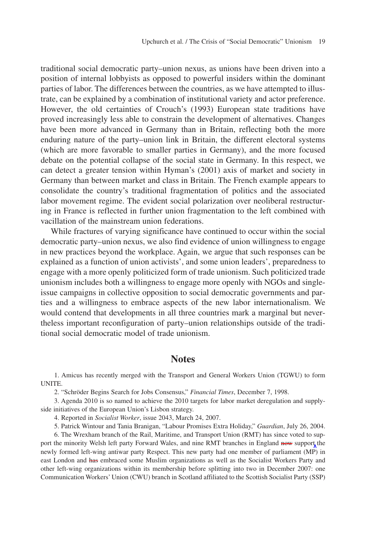traditional social democratic party–union nexus, as unions have been driven into a position of internal lobbyists as opposed to powerful insiders within the dominant parties of labor. The differences between the countries, as we have attempted to illustrate, can be explained by a combination of institutional variety and actor preference. However, the old certainties of Crouch's (1993) European state traditions have proved increasingly less able to constrain the development of alternatives. Changes have been more advanced in Germany than in Britain, reflecting both the more enduring nature of the party–union link in Britain, the different electoral systems (which are more favorable to smaller parties in Germany), and the more focused debate on the potential collapse of the social state in Germany. In this respect, we can detect a greater tension within Hyman's (2001) axis of market and society in Germany than between market and class in Britain. The French example appears to consolidate the country's traditional fragmentation of politics and the associated labor movement regime. The evident social polarization over neoliberal restructuring in France is reflected in further union fragmentation to the left combined with vacillation of the mainstream union federations.

While fractures of varying significance have continued to occur within the social democratic party–union nexus, we also find evidence of union willingness to engage in new practices beyond the workplace. Again, we argue that such responses can be explained as a function of union activists', and some union leaders', preparedness to engage with a more openly politicized form of trade unionism. Such politicized trade unionism includes both a willingness to engage more openly with NGOs and singleissue campaigns in collective opposition to social democratic governments and parties and a willingness to embrace aspects of the new labor internationalism. We would contend that developments in all three countries mark a marginal but nevertheless important reconfiguration of party–union relationships outside of the traditional social democratic model of trade unionism.

#### **Notes**

1. Amicus has recently merged with the Transport and General Workers Union (TGWU) to form UNITE.

2. "Schröder Begins Search for Jobs Consensus," *Financial Times*, December 7, 1998.

3. Agenda 2010 is so named to achieve the 2010 targets for labor market deregulation and supplyside initiatives of the European Union's Lisbon strategy.

4. Reported in *Socialist Worker*, issue 2043, March 24, 2007.

5. Patrick Wintour and Tania Branigan, "Labour Promises Extra Holiday," *Guardian*, July 26, 2004.

6. The Wrexham branch of the Rail, Maritime, and Transport Union (RMT) has since voted to support the minority Welsh left party Forward Wales, and nine RMT branches in England now support the newly formed left-wing antiwar party Respect. This new party had one member of parliament (MP) in east London and has embraced some Muslim organizations as well as the Socialist Workers Party and other left-wing organizations within its membership before splitting into two in December 2007: one Communication Workers' Union (CWU) branch in Scotland affiliated to the Scottish Socialist Party (SSP)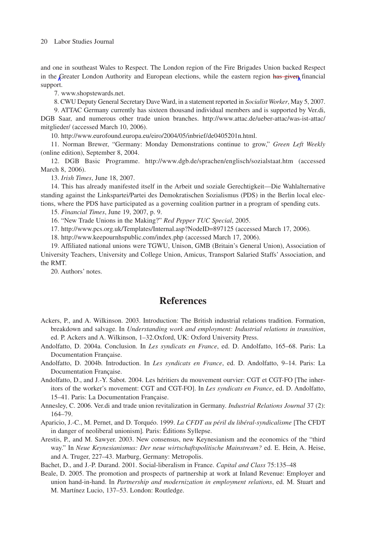and one in southeast Wales to Respect. The London region of the Fire Brigades Union backed Respect in the Greater London Authority and European elections, while the eastern region has given financial support.

7. www.shopstewards.net.

8. CWU Deputy General Secretary Dave Ward, in a statement reported in *Socialist Worker*, May 5, 2007.

9. ATTAC Germany currently has sixteen thousand individual members and is supported by Ver.di, DGB Saar, and numerous other trade union branches. http://www.attac.de/ueber-attac/was-ist-attac/ mitglieder/ (accessed March 10, 2006).

10. http://www.eurofound.europa.eu/eiro/2004/05/inbrief/de0405201n.html.

11. Norman Brewer, "Germany: Monday Demonstrations continue to grow," *Green Left Weekly* (online edition), September 8, 2004.

12. DGB Basic Programme. http://www.dgb.de/sprachen/englisch/sozialstaat.htm (accessed March 8, 2006).

13. *Irish Times*, June 18, 2007.

14. This has already manifested itself in the Arbeit und soziale Gerechtigkeit—Die Wahlalternative standing against the Linkspartei/Partei des Demokratischen Sozialismus (PDS) in the Berlin local elections, where the PDS have participated as a governing coalition partner in a program of spending cuts.

15. *Financial Times*, June 19, 2007, p. 9.

16. "New Trade Unions in the Making?" *Red Pepper TUC Special*, 2005.

17. http://www.pcs.org.uk/Templates/Internal.asp?NodeID=897125 (accessed March 17, 2006).

18. http://www.keepournhspublic.com/index.php (accessed March 17, 2006).

19. Affiliated national unions were TGWU, Unison, GMB (Britain's General Union), Association of University Teachers, University and College Union, Amicus, Transport Salaried Staffs' Association, and the RMT.

20. Authors' notes.

#### **References**

- Ackers, P., and A. Wilkinson. 2003. Introduction: The British industrial relations tradition. Formation, breakdown and salvage. In *Understanding work and employment: Industrial relations in transition*, ed. P. Ackers and A. Wilkinson, 1–32.Oxford, UK: Oxford University Press.
- Andolfatto, D. 2004a. Conclusion. In *Les syndicats en France*, ed. D. Andolfatto, 165–68. Paris: La Documentation Française.
- Andolfatto, D. 2004b. Introduction. In *Les syndicats en France*, ed. D. Andolfatto, 9–14. Paris: La Documentation Française.
- Andolfatto, D., and J.-Y. Sabot. 2004. Les héritiers du mouvement ourvier: CGT et CGT-FO [The inheritors of the worker's movement: CGT and CGT-FO]. In *Les syndicats en France*, ed. D. Andolfatto, 15–41. Paris: La Documentation Française.
- Annesley, C. 2006. Ver.di and trade union revitalization in Germany. *Industrial Relations Journal* 37 (2): 164–79.
- Aparicio, J.-C., M. Pernet, and D. Torquéo. 1999. *La CFDT au péril du libéral-syndicalisme* [The CFDT in danger of neoliberal unionism]*.* Paris: Éditions Syllepse.
- Arestis, P., and M. Sawyer. 2003. New consensus, new Keynesianism and the economics of the "third way." In *Neue Keynesianismus: Der neue wirtschaftspolitische Mainstream?* ed. E. Hein, A. Heise, and A. Truger, 227–43. Marburg, Germany: Metropolis.

Bachet, D., and J.-P. Durand. 2001. Social-liberalism in France. *Capital and Class* 75:135–48

Beale, D. 2005. The promotion and prospects of partnership at work at Inland Revenue: Employer and union hand-in-hand. In *Partnership and modernization in employment relations*, ed. M. Stuart and M. Martínez Lucio, 137–53. London: Routledge.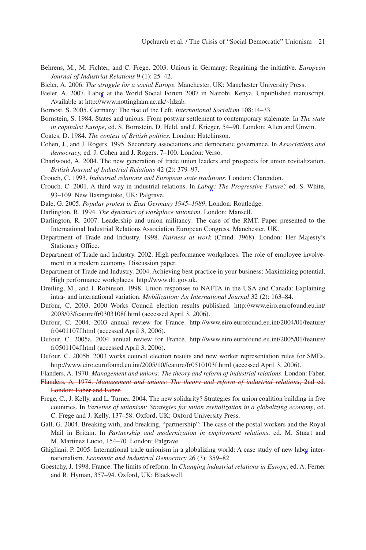- Behrens, M., M. Fichter, and C. Frege. 2003. Unions in Germany: Regaining the initiative. *European Journal of Industrial Relations* 9 (1): 25–42.
- Bieler, A. 2006. *The struggle for a social Europe.* Manchester, UK: Manchester University Press.

Bieler, A. 2007. Labor at the World Social Forum 2007 in Nairobi, Kenya. Unpublished manuscript. Available at http://www.nottingham.ac.uk/~ldzab.

Bornost, S. 2005. Germany: The rise of the Left. *International Socialism* 108:14–33.

Bornstein, S. 1984. States and unions: From postwar settlement to contemporary stalemate. In *The state in capitalist Europe*, ed. S. Bornstein, D. Held, and J. Krieger, 54–90. London: Allen and Unwin.

- Coates, D. 1984. *The context of British politics.* London: Hutchinson.
- Cohen, J., and J. Rogers. 1995. Secondary associations and democratic governance. In *Associations and democracy,* ed. J. Cohen and J. Rogers, 7–100. London: Verso.

Charlwood, A. 2004. The new generation of trade union leaders and prospects for union revitalization. *British Journal of Industrial Relations* 42 (2): 379–97.

- Crouch, C. 1993. *Industrial relations and European state traditions*. London: Clarendon.
- Crouch. C. 2001. A third way in industrial relations. In *Labor: The Progressive Future?* ed. S. White, 93–109. New Basingstoke, UK: Palgrave.
- Dale, G. 2005. *Popular protest in East Germany 1945–1989*. London: Routledge.

Darlington, R. 1994. *The dynamics of workplace unionism*. London: Mansell.

- Darlington, R. 2007. Leadership and union militancy: The case of the RMT. Paper presented to the International Industrial Relations Association European Congress, Manchester, UK.
- Department of Trade and Industry. 1998. *Fairness at work* (Cmnd. 3968). London: Her Majesty's Stationery Office.

Department of Trade and Industry. 2002. High performance workplaces: The role of employee involvement in a modern economy. Discussion paper.

- Department of Trade and Industry. 2004. Achieving best practice in your business: Maximizing potential. High performance workplaces. http://www.dti.gov.uk.
- Dreiling, M., and I. Robinson. 1998. Union responses to NAFTA in the USA and Canada: Explaining intra- and international variation. *Mobilization: An International Journal* 32 (2): 163–84.
- Dufour, C. 2003. 2000 Works Council election results published. http://www.eiro.eurofound.eu.int/ 2003/03/feature/fr0303108f.html (accessed April 3, 2006).
- Dufour, C. 2004. 2003 annual review for France. http://www.eiro.eurofound.eu.int/2004/01/feature/ fr0401107f.html (accessed April 3, 2006).
- Dufour, C. 2005a. 2004 annual review for France. http://www.eiro.eurofound.eu.int/2005/01/feature/ fr0501104f.html (accessed April 3, 2006).
- Dufour, C. 2005b. 2003 works council election results and new worker representation rules for SMEs. http://www.eiro.eurofound.eu.int/2005/10/feature/fr0510103f.html (accessed April 3, 2006).

Flanders, A. 1970. *Management and unions: The theory and reform of industrial relations*. London: Faber. Flanders, A. 1974. *Management and unions: The theory and reform of industrial relations*, 2nd ed*.*

- London: Faber and Faber. Frege, C., J. Kelly, and L. Turner. 2004. The new solidarity? Strategies for union coalition building in five
- countries. In *Varieties of unionism: Strategies for union revitalization in a globalizing economy*, ed. C. Frege and J. Kelly, 137–58. Oxford, UK: Oxford University Press.
- Gall, G. 2004. Breaking with, and breaking, "partnership": The case of the postal workers and the Royal Mail in Britain. In *Partnership and modernization in employment relations*, ed. M. Stuart and M. Martinez Lucio, 154–70. London: Palgrave.
- Ghigliani, P. 2005. International trade unionism in a globalizing world: A case study of new labor internationalism. *Economic and Industrial Democracy* 26 (3): 359–82.
- Goestchy, J. 1998. France: The limits of reform. In *Changing industrial relations in Europe*, ed. A. Ferner and R. Hyman, 357–94. Oxford, UK: Blackwell.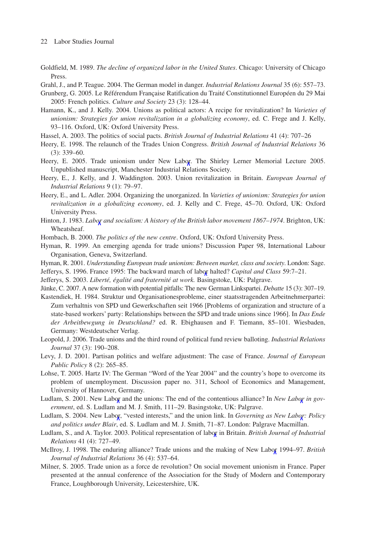- Goldfield, M. 1989. *The decline of organized labor in the United States*. Chicago: University of Chicago Press.
- Grahl, J., and P. Teague. 2004. The German model in danger. *Industrial Relations Journal* 35 (6): 557–73.
- Grunberg, G. 2005. Le Référendum Française Ratification du Traité Constitutionnel Européen du 29 Mai 2005: French politics. *Culture and Society* 23 (3): 128–44.
- Hamann, K., and J. Kelly. 2004. Unions as political actors: A recipe for revitalization? In *Varieties of unionism: Strategies for union revitalization in a globalizing economy*, ed. C. Frege and J. Kelly, 93–116. Oxford, UK: Oxford University Press.
- Hassel, A. 2003. The politics of social pacts. *British Journal of Industrial Relations* 41 (4): 707–26
- Heery, E. 1998. The relaunch of the Trades Union Congress. *British Journal of Industrial Relations* 36 (3): 339–60.
- Heery, E. 2005. Trade unionism under New Labor. The Shirley Lerner Memorial Lecture 2005. Unpublished manuscript, Manchester Industrial Relations Society.
- Heery, E., J. Kelly, and J. Waddington. 2003. Union revitalization in Britain. *European Journal of Industrial Relations* 9 (1): 79–97.
- Heery, E., and L. Adler. 2004. Organizing the unorganized. In *Varieties of unionism: Strategies for union revitalization in a globalizing economy*, ed. J. Kelly and C. Frege, 45–70. Oxford, UK: Oxford University Press.
- Hinton, J. 1983. *Labor and socialism: A history of the British labor movement 1867–1974*. Brighton, UK: Wheatsheaf.

Hombach, B. 2000. *The politics of the new centre*. Oxford, UK: Oxford University Press.

- Hyman, R. 1999. An emerging agenda for trade unions? Discussion Paper 98, International Labour Organisation, Geneva, Switzerland.
- Hyman, R. 2001. *Understanding European trade unionism: Between market, class and society*. London: Sage.
- Jefferys, S. 1996. France 1995: The backward march of labor halted? *Capital and Class* 59:7–21.
- Jefferys, S. 2003. *Liberté, égalité and fraternité at work.* Basingstoke, UK: Palgrave.
- Jünke, C. 2007. A new formation with potential pitfalls: The new German Linkspartei. *Debatte* 15 (3): 307–19.
- Kastendiek, H. 1984. Struktur und Organisationesprobleme, einer staatsstragenden Arbeitnehmerpartei: Zum verhaltnis von SPD und Gewerkschaften seit 1966 [Problems of organization and structure of a state-based workers' party: Relationships between the SPD and trade unions since 1966]. In *Das Ende der Arbeitbewgung in Deutschland?* ed. R. Ebighausen and F. Tiemann, 85–101. Wiesbaden, Germany: Westdeutscher Verlag.
- Leopold, J. 2006. Trade unions and the third round of political fund review balloting. *Industrial Relations Journal* 37 (3): 190–208.
- Levy, J. D. 2001. Partisan politics and welfare adjustment: The case of France. *Journal of European Public Policy* 8 (2): 265–85.
- Lohse, T. 2005. Hartz IV: The German "Word of the Year 2004" and the country's hope to overcome its problem of unemployment. Discussion paper no. 311, School of Economics and Management, University of Hannover, Germany.
- Ludlam, S. 2001. New Labox and the unions: The end of the contentious alliance? In *New Labox in government*, ed. S. Ludlam and M. J. Smith, 111–29. Basingstoke, UK: Palgrave.
- Ludlam, S. 2004. New Labor, "vested interests," and the union link. In *Governing as New Labor: Policy and politics under Blair*, ed. S. Ludlam and M. J. Smith, 71–87. London: Palgrave Macmillan.
- Ludlam, S., and A. Taylor. 2003. Political representation of labor in Britain. *British Journal of Industrial Relations* 41 (4): 727–49.
- McIlroy, J. 1998. The enduring alliance? Trade unions and the making of New Labor 1994–97. *British Journal of Industrial Relations* 36 (4): 537–64.
- Milner, S. 2005. Trade union as a force de revolution? On social movement unionism in France. Paper presented at the annual conference of the Association for the Study of Modern and Contemporary France, Loughborough University, Leicestershire, UK.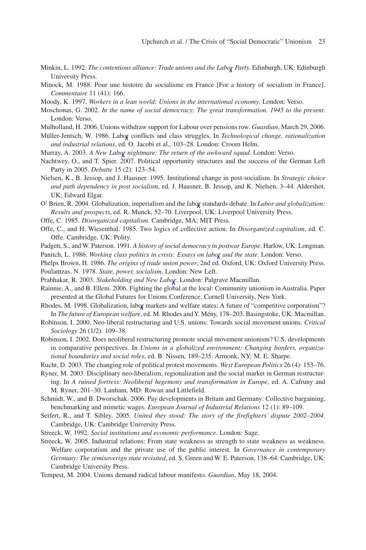- Minkin, L. 1992. *The contentious alliance: Trade unions and the Labor Party.* Edinburgh, UK: Edinburgh University Press.
- Minock, M. 1988. Pour une histoire du socialisme en France [For a history of socialism in France]. *Commentaire* 11 (41): 166.
- Moody, K. 1997. *Workers in a lean world: Unions in the international economy*. London: Verso.
- Moschonas, G. 2002. *In the name of social democracy: The great transformation. 1945 to the present*. London: Verso.
- Mulholland, H. 2006. Unions withdraw support for Labour over pensions row. *Guardian*, March 29, 2006.
- Müller-Jentsch, W. 1986. Labor conflicts and class struggles. In *Technological change, rationalization and industrial relations*, ed. O. Jacobi et al., 103–28. London: Croom Helm.
- Murray, A. 2003. *A New Labor nightmare: The return of the awkward squad*. London: Verso.
- Nachtwey, O., and T. Spier. 2007. Political opportunity structures and the success of the German Left Party in 2005. *Debatte* 15 (2): 123–54.
- Nielsen, K., B. Jessop, and J. Hausner. 1995. Institutional change in post-socialism. In *Strategic choice and path dependency in post socialism*, ed. J. Hausner, B. Jessop, and K. Nielsen, 3–44. Aldershot, UK: Edward Elgar.
- O' Brien, R. 2004. Globalization, imperialism and the labor standards debate. In *Labor and globalization: Results and prospects*, ed. R. Munck, 52–70. Liverpool, UK: Liverpool University Press.
- Offe, C. 1985. *Disorganized capitalism*. Cambridge, MA: MIT Press.
- Offe, C., and H. Wiesenthal. 1985. Two logics of collective action. In *Disorganized capitalism*, ed. C. Offe. Cambridge, UK: Polity.
- Padgett, S., and W. Paterson. 1991. *A history of social democracy in postwar Europe*. Harlow, UK: Longman. Panitch, L. 1986. *Working class politics in crisis: Essays on labor and the state*. London: Verso.
- Phelps Brown, H. 1986. *The origins of trade union power*, 2nd ed. Oxford, UK: Oxford University Press. Poulantzas, N. 1978. *State, power, socialism*. London: New Left.
- Prabhakar, R. 2003. *Stakeholding and New Labor*. London: Palgrave Macmillan.
- Rainnie, A., and B. Ellem. 2006. Fighting the global at the local: Community unionism in Australia. Paper presented at the Global Futures for Unions Conference, Cornell University, New York.
- Rhodes, M. 1998. Globalization, labor markets and welfare states: A future of "competitive corporatism"? In *The future of European welfare*, ed. M. Rhodes and Y. Mény, 178–203. Basingstoke, UK: Macmillan.
- Robinson, I. 2000. Neo-liberal restructuring and U.S. unions: Towards social movement unions. *Critical Sociology* 26 (1/2): 109–38.
- Robinson, I. 2002. Does neoliberal restructuring promote social movement unionism? U.S. developments in comparative perspectives. In *Unions in a globalized environment: Changing borders, organizational boundaries and social roles*, ed. B. Nissen, 189–235. Armonk, NY: M. E. Sharpe.
- Rucht, D. 2003. The changing role of political protest movements. *West European Politics* 26 (4): 153–76.
- Ryner, M. 2003. Disciplinary neo-liberalism, regionalization and the social market in German restructuring. In *A ruined fortress: Neoliberal hegemony and transformation in Europe*, ed. A. Cafruny and M. Ryner, 201–30. Lanham, MD: Rowan and Littlefield.
- Schmidt, W., and B. Dworschak. 2006. Pay developments in Britain and Germany: Collective bargaining, benchmarking and mimetic wages. *European Journal of Industrial Relations* 12 (1): 89–109.
- Seifert, R., and T. Sibley. 2005. *United they stood: The story of the firefighters' dispute 2002–2004*. Cambridge, UK: Cambridge University Press.
- Streeck, W. 1992. *Social institutions and economic performance*. London: Sage.
- Streeck, W. 2005. Industrial relations: From state weakness as strength to state weakness as weakness. Welfare corporatism and the private use of the public interest. In *Governance in contemporary Germany: The semisoverign state revisited*, ed. S. Green and W. E. Paterson, 138–64. Cambridge, UK: Cambridge University Press.

Tempest, M. 2004. Unions demand radical labour manifesto. *Guardian*, May 18, 2004.